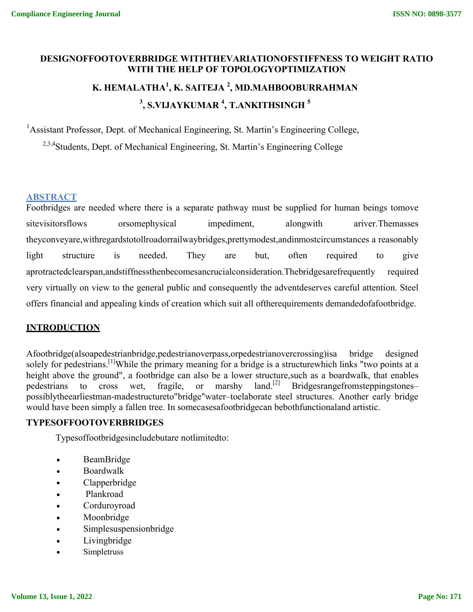# **DESIGNOFFOOTOVERBRIDGE WITHTHEVARIATIONOFSTIFFNESS TO WEIGHT RATIO WITH THE HELP OF TOPOLOGYOPTIMIZATION K. HEMALATHA1 , K. SAITEJA 2 , MD.MAHBOOBURRAHMAN**  <sup>3</sup>, S.VIJAYKUMAR <sup>4</sup>, T.ANKITHSINGH <sup>5</sup>

<sup>1</sup> Assistant Professor, Dept. of Mechanical Engineering, St. Martin's Engineering College,

<sup>2,3,4</sup>Students, Dept. of Mechanical Engineering, St. Martin's Engineering College

#### **ABSTRACT**

Footbridges are needed where there is a separate pathway must be supplied for human beings tomove sitevisitorsflows orsomephysical impediment, alongwith ariver.Themasses theyconveyare,withregardstotollroadorrailwaybridges,prettymodest,andinmostcircumstances a reasonably light structure is needed. They are but, often required to give aprotractedclearspan,andstiffnessthenbecomesancrucialconsideration.Thebridgesarefrequently required very virtually on view to the general public and consequently the adventdeserves careful attention. Steel offers financial and appealing kinds of creation which suit all oftherequirements demandedofafootbridge.

#### **INTRODUCTION**

Afootbridge(alsoapedestrianbridge,pedestrianoverpass,orpedestrianovercrossing)isa bridge designed solely for pedestrians.<sup>[1]</sup>While the primary meaning for a bridge is a structurewhich links "two points at a height above the ground", a footbridge can also be a lower structure,such as a boardwalk, that enables pedestrians to cross wet, fragile, or marshy land.<sup>[2]</sup> Bridgesrangefromsteppingstones– possiblytheearliestman-madestructureto"bridge"water–toelaborate steel structures. Another early bridge would have been simply a fallen tree. In somecasesafootbridgecan bebothfunctionaland artistic.

#### **TYPESOFFOOTOVERBRIDGES**

Typesoffootbridgesincludebutare notlimitedto:

- BeamBridge
- Boardwalk
- Clapperbridge
- Plankroad
- Corduroyroad
- Moonbridge
- Simplesuspensionbridge
- Livingbridge
- Simpletruss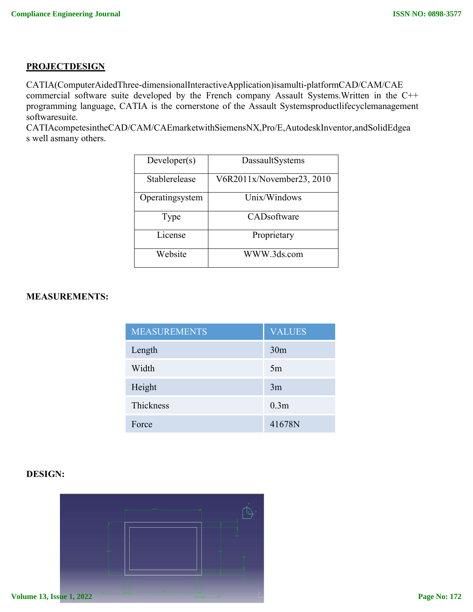#### **PROJECTDESIGN**

CATIA(ComputerAidedThree-dimensionalInteractiveApplication)isamulti-platformCAD/CAM/CAE commercial software suite developed by the French company Assault Systems.Written in the C++ programming language, CATIA is the cornerstone of the Assault Systemsproductlifecyclemanagement softwaresuite.

CATIAcompetesintheCAD/CAM/CAEmarketwithSiemensNX,Pro/E,AutodeskInventor,andSolidEdgea s well asmany others.

| Developer(s)    | DassaultSystems           |  |  |  |
|-----------------|---------------------------|--|--|--|
| Stablerelease   | V6R2011x/November23, 2010 |  |  |  |
| Operatingsystem | Unix/Windows              |  |  |  |
| Type            | CADsoftware               |  |  |  |
| License         | Proprietary               |  |  |  |
| Website         | WWW.3ds.com               |  |  |  |

#### **MEASUREMENTS:**

| <b>MEASUREMENTS</b> | <b>VALUES</b>    |  |
|---------------------|------------------|--|
| Length              | 30 <sub>m</sub>  |  |
| Width               | 5m               |  |
| Height              | 3m               |  |
| Thickness           | 0.3 <sub>m</sub> |  |
| Force               | 41678N           |  |

#### **DESIGN:**

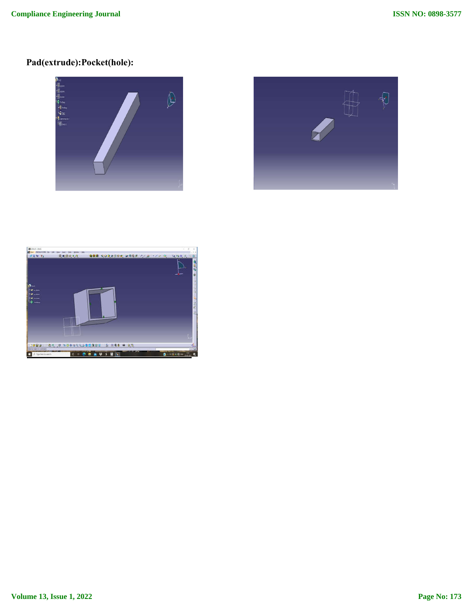# **Pad(extrude):Pocket(hole):**





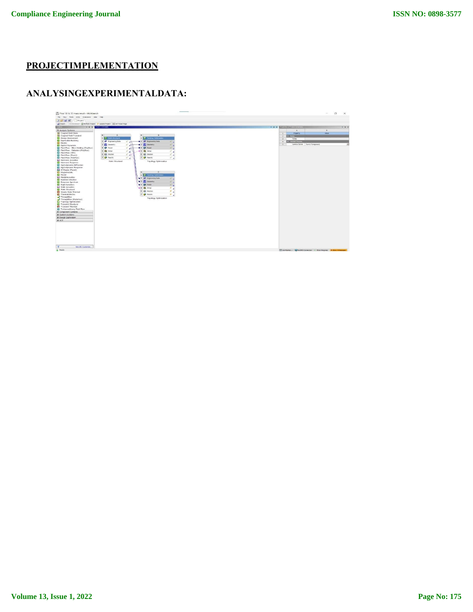### **PROJECTIMPLEMENTATION**

### **ANALYSINGEXPERIMENTALDATA:**

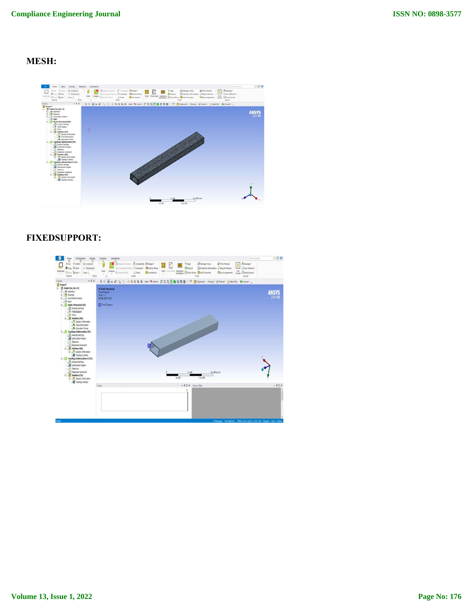### **MESH:**



### **FIXEDSUPPORT:**

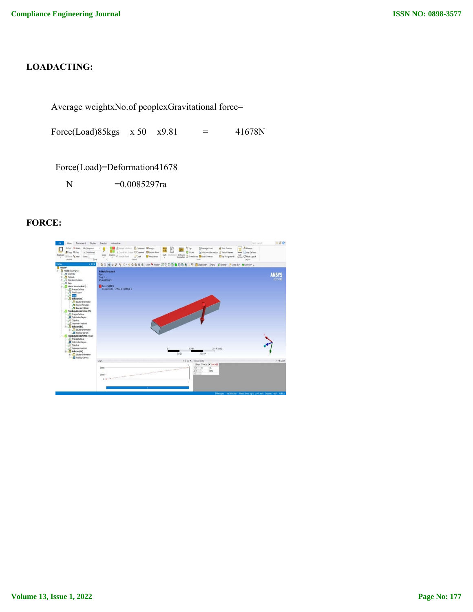### **LOADACTING:**

Average weightxNo.of peoplexGravitational force=

Force(Load)85kgs  $x 50 x9.81 = 41678N$ 

Force(Load)=Deformation41678

N =0.0085297ra

### **FORCE:**

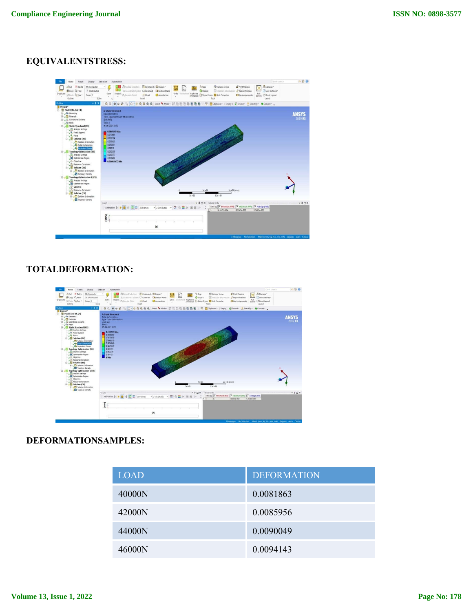## **EQUIVALENTSTRESS:**



# **TOTALDEFORMATION:**



### **DEFORMATIONSAMPLES:**

| <b>LOAD</b> | <b>DEFORMATION</b> |
|-------------|--------------------|
| 40000N      | 0.0081863          |
| 42000N      | 0.0085956          |
| 44000N      | 0.0090049          |
| 46000N      | 0.0094143          |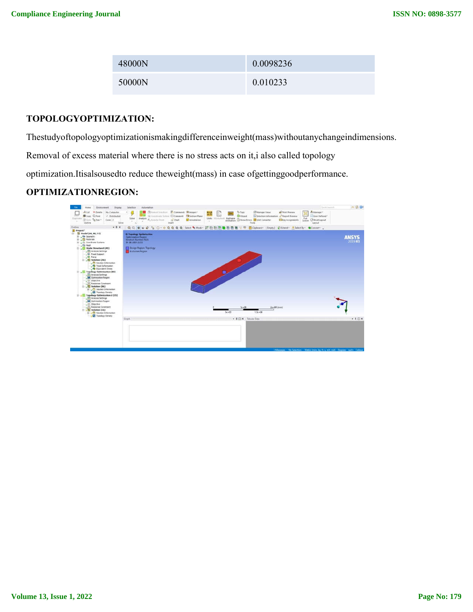| 48000N | 0.0098236 |
|--------|-----------|
| 50000N | 0.010233  |

### **TOPOLOGYOPTIMIZATION:**

Thestudyoftopologyoptimizationismakingdifferenceinweight(mass)withoutanychangeindimensions.

Removal of excess material where there is no stress acts on it,i also called topology

optimization.Itisalsousedto reduce theweight(mass) in case ofgettinggoodperformance.

### **OPTIMIZATIONREGION:**

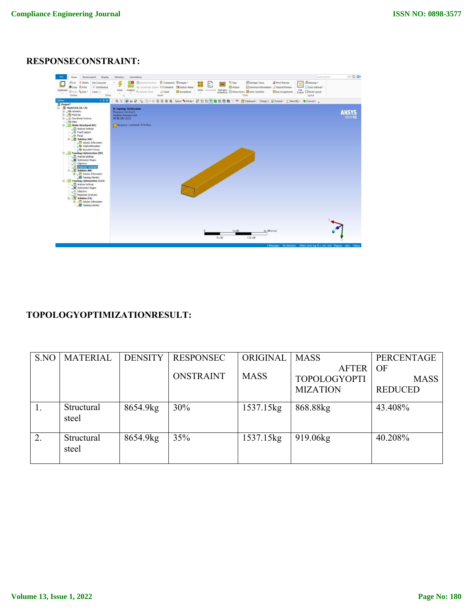### **RESPONSECONSTRAINT:**



### **TOPOLOGYOPTIMIZATIONRESULT:**

| S.NO | <b>MATERIAL</b>     | <b>DENSITY</b> | <b>RESPONSEC</b> | ORIGINAL    | <b>MASS</b>                                            | PERCENTAGE                          |
|------|---------------------|----------------|------------------|-------------|--------------------------------------------------------|-------------------------------------|
|      |                     |                | <b>ONSTRAINT</b> | <b>MASS</b> | <b>AFTER</b><br><b>TOPOLOGYOPTI</b><br><b>MIZATION</b> | OF<br><b>MASS</b><br><b>REDUCED</b> |
|      | Structural<br>steel | 8654.9kg       | 30%              | 1537.15kg   | 868.88kg                                               | 43.408%                             |
| 2.   | Structural<br>steel | 8654.9kg       | 35%              | 1537.15kg   | 919.06kg                                               | 40.208%                             |